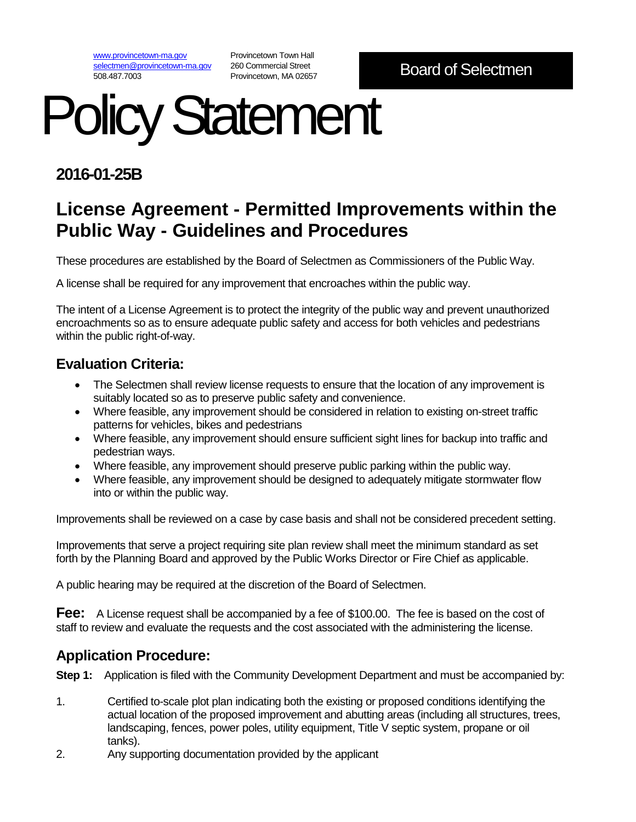[www.provincetown-ma.gov](http://www.provincetown-ma.gov/) [selectmen@provincetown-ma.gov](mailto:selectmen@provincetown-ma.gov) 508.487.7003

Provincetown Town Hall 260 Commercial Street Provincetown, MA 02657

# Policy Statement

### **2016-01-25B**

## **License Agreement - Permitted Improvements within the Public Way - Guidelines and Procedures**

These procedures are established by the Board of Selectmen as Commissioners of the Public Way.

A license shall be required for any improvement that encroaches within the public way.

The intent of a License Agreement is to protect the integrity of the public way and prevent unauthorized encroachments so as to ensure adequate public safety and access for both vehicles and pedestrians within the public right-of-way.

#### **Evaluation Criteria:**

- The Selectmen shall review license requests to ensure that the location of any improvement is suitably located so as to preserve public safety and convenience.
- Where feasible, any improvement should be considered in relation to existing on-street traffic patterns for vehicles, bikes and pedestrians
- Where feasible, any improvement should ensure sufficient sight lines for backup into traffic and pedestrian ways.
- Where feasible, any improvement should preserve public parking within the public way.
- Where feasible, any improvement should be designed to adequately mitigate stormwater flow into or within the public way.

Improvements shall be reviewed on a case by case basis and shall not be considered precedent setting.

Improvements that serve a project requiring site plan review shall meet the minimum standard as set forth by the Planning Board and approved by the Public Works Director or Fire Chief as applicable.

A public hearing may be required at the discretion of the Board of Selectmen.

**Fee:** A License request shall be accompanied by a fee of \$100.00. The fee is based on the cost of staff to review and evaluate the requests and the cost associated with the administering the license.

#### **Application Procedure:**

**Step 1:** Application is filed with the Community Development Department and must be accompanied by:

- 1. Certified to-scale plot plan indicating both the existing or proposed conditions identifying the actual location of the proposed improvement and abutting areas (including all structures, trees, landscaping, fences, power poles, utility equipment, Title V septic system, propane or oil tanks).
- 2. Any supporting documentation provided by the applicant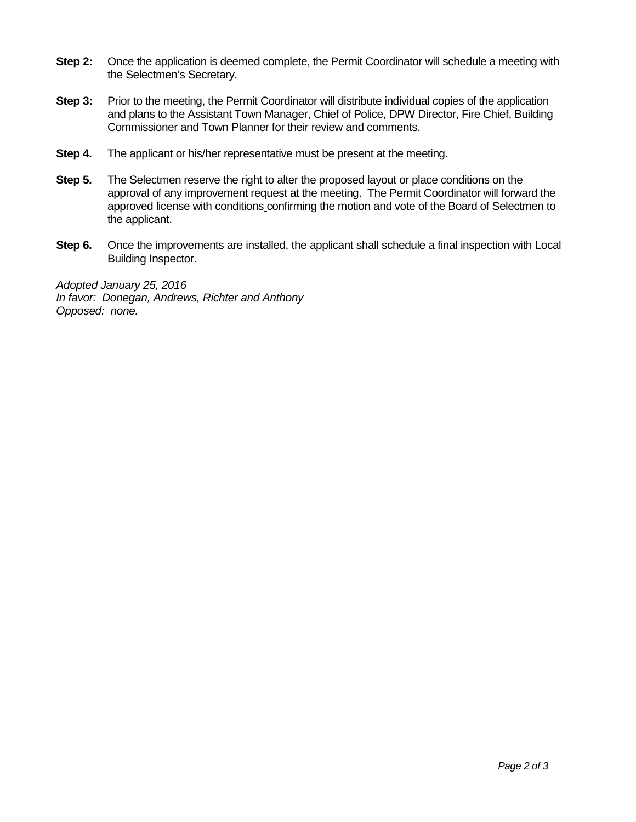- **Step 2:** Once the application is deemed complete, the Permit Coordinator will schedule a meeting with the Selectmen's Secretary.
- **Step 3:** Prior to the meeting, the Permit Coordinator will distribute individual copies of the application and plans to the Assistant Town Manager, Chief of Police, DPW Director, Fire Chief, Building Commissioner and Town Planner for their review and comments.
- **Step 4.** The applicant or his/her representative must be present at the meeting.
- **Step 5.** The Selectmen reserve the right to alter the proposed layout or place conditions on the approval of any improvement request at the meeting. The Permit Coordinator will forward the approved license with conditions confirming the motion and vote of the Board of Selectmen to the applicant.
- **Step 6.** Once the improvements are installed, the applicant shall schedule a final inspection with Local Building Inspector.

*Adopted January 25, 2016 In favor: Donegan, Andrews, Richter and Anthony Opposed: none.*